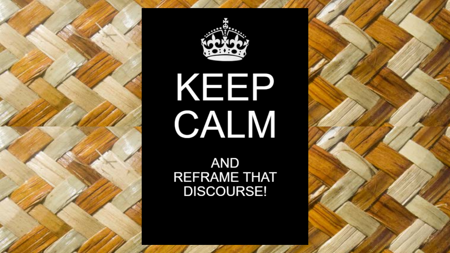



# KEEP CALM

**AND REFRAME THAT DISCOURSE!** 

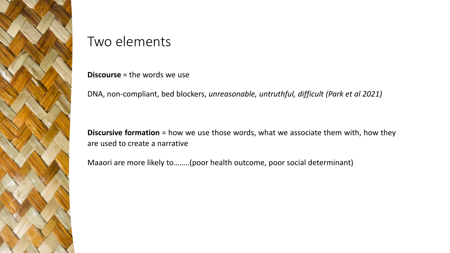

### Two elements

**Discourse** = the words we use

DNA, non-compliant, bed blockers, *unreasonable, untruthful, difficult (Park et al 2021)*

**Discursive formation** = how we use those words, what we associate them with, how they are used to create a narrative

Maaori are more likely to……..(poor health outcome, poor social determinant)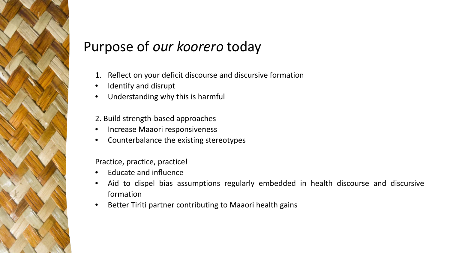### Purpose of *our koorero* today

- 1. Reflect on your deficit discourse and discursive formation
- Identify and disrupt
- Understanding why this is harmful

### 2. Build strength-based approaches

- Increase Maaori responsiveness
- Counterbalance the existing stereotypes

### Practice, practice, practice!

- Educate and influence
- Aid to dispel bias assumptions regularly embedded in health discourse and discursive formation
- Better Tiriti partner contributing to Maaori health gains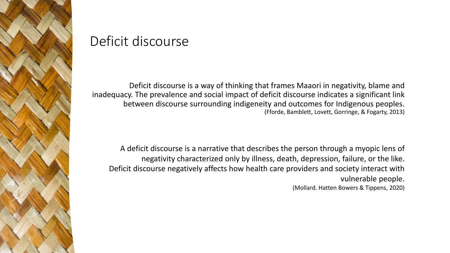

### Deficit discourse

Deficit discourse is a way of thinking that frames Maaori in negativity, blame and inadequacy. The prevalence and social impact of deficit discourse indicates a significant link between discourse surrounding indigeneity and outcomes for Indigenous peoples. (Fforde, Bamblett, Lovett, Gorringe, & Fogarty, 2013)

A deficit discourse is a narrative that describes the person through a myopic lens of negativity characterized only by illness, death, depression, failure, or the like. Deficit discourse negatively affects how health care providers and society interact with vulnerable people. (Mollard. Hatten Bowers & Tippens, 2020)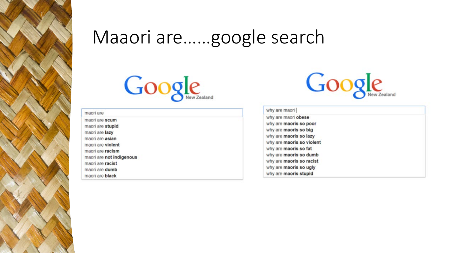# Maaori are......google search Google



| maori are                |
|--------------------------|
| maori are scum           |
| maori are stupid         |
| maori are lazy           |
| maori are asian          |
| maori are violent        |
| maori are racism         |
| maori are not indigenous |
| maori are racist         |
| maori are dumb           |
| maori are black          |
|                          |

| why are maori             |  |
|---------------------------|--|
| why are maori obese       |  |
| why are maoris so poor    |  |
| why are maoris so big     |  |
| why are maoris so lazy    |  |
| why are maoris so violent |  |
| why are maoris so fat     |  |
| why are maoris so dumb    |  |
| why are maoris so racist  |  |
| why are maoris so ugly    |  |
| why are maoris stupid     |  |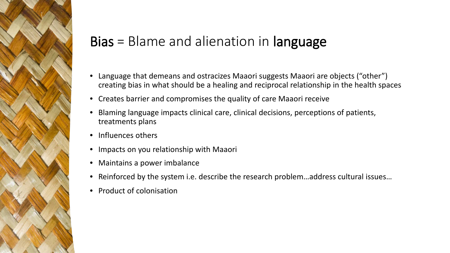## Bias = Blame and alienation in language

- Language that demeans and ostracizes Maaori suggests Maaori are objects ("other") creating bias in what should be a healing and reciprocal relationship in the health spaces
- Creates barrier and compromises the quality of care Maaori receive
- Blaming language impacts clinical care, clinical decisions, perceptions of patients, treatments plans
- Influences others
- Impacts on you relationship with Maaori
- Maintains a power imbalance
- Reinforced by the system i.e. describe the research problem…address cultural issues…
- Product of colonisation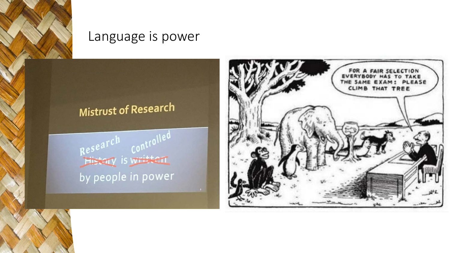

### Language is power



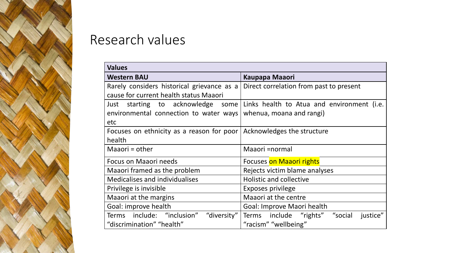

### Research values

| <b>Values</b>                                                          |                                               |  |  |
|------------------------------------------------------------------------|-----------------------------------------------|--|--|
| <b>Western BAU</b>                                                     | <b>Kaupapa Maaori</b>                         |  |  |
| Rarely considers historical grievance as a                             | Direct correlation from past to present       |  |  |
| cause for current health status Maaori                                 |                                               |  |  |
| Just starting to acknowledge some                                      | Links health to Atua and environment (i.e.    |  |  |
| environmental connection to water ways                                 | whenua, moana and rangi)                      |  |  |
| etc                                                                    |                                               |  |  |
| Focuses on ethnicity as a reason for poor   Acknowledges the structure |                                               |  |  |
| health                                                                 |                                               |  |  |
| Maaori = other                                                         | Maaori =normal                                |  |  |
| Focus on Maaori needs                                                  | Focuses on Maaori rights                      |  |  |
| Maaori framed as the problem                                           | Rejects victim blame analyses                 |  |  |
| <b>Medicalises and individualises</b>                                  | <b>Holistic and collective</b>                |  |  |
| Privilege is invisible                                                 | Exposes privilege                             |  |  |
| Maaori at the margins                                                  | Maaori at the centre                          |  |  |
| Goal: improve health                                                   | Goal: Improve Maori health                    |  |  |
| Terms include: "inclusion" "diversity"                                 | Terms include "rights"<br>"social<br>justice" |  |  |
| "discrimination" "health"                                              | "racism" "wellbeing"                          |  |  |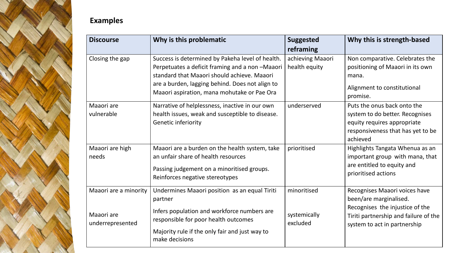

### **Examples**

| <b>Discourse</b>                                        | Why is this problematic                                                                                                                                                                                                                             | <b>Suggested</b>                        | Why this is strength-based                                                                                                                                                        |
|---------------------------------------------------------|-----------------------------------------------------------------------------------------------------------------------------------------------------------------------------------------------------------------------------------------------------|-----------------------------------------|-----------------------------------------------------------------------------------------------------------------------------------------------------------------------------------|
|                                                         |                                                                                                                                                                                                                                                     | reframing                               |                                                                                                                                                                                   |
| Closing the gap                                         | Success is determined by Pakeha level of health.<br>Perpetuates a deficit framing and a non-Maaori<br>standard that Maaori should achieve. Maaori<br>are a burden, lagging behind. Does not align to<br>Maaori aspiration, mana mohutake or Pae Ora | achieving Maaori<br>health equity       | Non comparative. Celebrates the<br>positioning of Maaori in its own<br>mana.<br>Alignment to constitutional<br>promise.                                                           |
| Maaori are<br>vulnerable<br>Maaori are high             | Narrative of helplessness, inactive in our own<br>health issues, weak and susceptible to disease.<br>Genetic inferiority<br>Maaori are a burden on the health system, take                                                                          | underserved<br>prioritised              | Puts the onus back onto the<br>system to do better. Recognises<br>equity requires appropriate<br>responsiveness that has yet to be<br>achieved<br>Highlights Tangata Whenua as an |
| needs                                                   | an unfair share of health resources<br>Passing judgement on a minoritised groups.<br>Reinforces negative stereotypes                                                                                                                                |                                         | important group with mana, that<br>are entitled to equity and<br>prioritised actions                                                                                              |
| Maaori are a minority<br>Maaori are<br>underrepresented | Undermines Maaori position as an equal Tiriti<br>partner<br>Infers population and workforce numbers are<br>responsible for poor health outcomes<br>Majority rule if the only fair and just way to<br>make decisions                                 | minoritised<br>systemically<br>excluded | Recognises Maaori voices have<br>been/are marginalised.<br>Recognises the injustice of the<br>Tiriti partnership and failure of the<br>system to act in partnership               |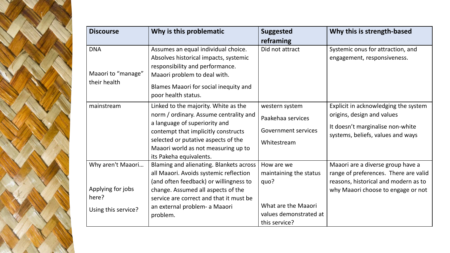

| <b>Discourse</b>                                 | Why is this problematic                                                                                                                         | <b>Suggested</b>                        | Why this is strength-based                                                    |
|--------------------------------------------------|-------------------------------------------------------------------------------------------------------------------------------------------------|-----------------------------------------|-------------------------------------------------------------------------------|
|                                                  |                                                                                                                                                 | reframing                               |                                                                               |
| <b>DNA</b><br>Maaori to "manage"<br>their health | Assumes an equal individual choice.<br>Absolves historical impacts, systemic<br>responsibility and performance.<br>Maaori problem to deal with. | Did not attract                         | Systemic onus for attraction, and<br>engagement, responsiveness.              |
|                                                  | Blames Maaori for social inequity and<br>poor health status.                                                                                    |                                         |                                                                               |
| mainstream                                       | Linked to the majority. White as the                                                                                                            | western system                          | Explicit in acknowledging the system                                          |
|                                                  | norm / ordinary. Assume centrality and<br>a language of superiority and                                                                         | Paakehaa services                       | origins, design and values                                                    |
|                                                  | contempt that implicitly constructs                                                                                                             | Government services                     | It doesn't marginalise non-white                                              |
|                                                  | selected or putative aspects of the<br>Maaori world as not measuring up to<br>its Pakeha equivalents.                                           | Whitestream                             | systems, beliefs, values and ways                                             |
| Why aren't Maaori                                | Blaming and alienating. Blankets across                                                                                                         | How are we                              | Maaori are a diverse group have a                                             |
|                                                  | all Maaori. Avoids systemic reflection<br>(and often feedback) or willingness to                                                                | maintaining the status<br>quo?          | range of preferences. There are valid<br>reasons, historical and modern as to |
| Applying for jobs                                | change. Assumed all aspects of the                                                                                                              |                                         | why Maaori choose to engage or not                                            |
| here?<br>Using this service?                     | service are correct and that it must be<br>an external problem- a Maaori                                                                        | What are the Maaori                     |                                                                               |
|                                                  | problem.                                                                                                                                        | values demonstrated at<br>this service? |                                                                               |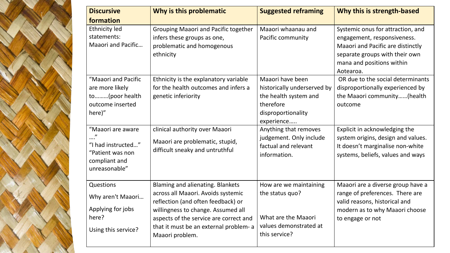| <b>Discursive</b>                                                                             | Why is this problematic                                                                                                                                                                                                                                   | <b>Suggested reframing</b>                                                                                                | Why this is strength-based                                                                                                                                                        |
|-----------------------------------------------------------------------------------------------|-----------------------------------------------------------------------------------------------------------------------------------------------------------------------------------------------------------------------------------------------------------|---------------------------------------------------------------------------------------------------------------------------|-----------------------------------------------------------------------------------------------------------------------------------------------------------------------------------|
| formation                                                                                     |                                                                                                                                                                                                                                                           |                                                                                                                           |                                                                                                                                                                                   |
| <b>Ethnicity led</b><br>statements:<br>Maaori and Pacific                                     | Grouping Maaori and Pacific together<br>infers these groups as one,<br>problematic and homogenous<br>ethnicity                                                                                                                                            | Maaori whaanau and<br>Pacific community                                                                                   | Systemic onus for attraction, and<br>engagement, responsiveness.<br>Maaori and Pacific are distinctly<br>separate groups with their own<br>mana and positions within<br>Aotearoa. |
| "Maaori and Pacific<br>are more likely<br>to(poor health<br>outcome inserted<br>here)"        | Ethnicity is the explanatory variable<br>for the health outcomes and infers a<br>genetic inferiority                                                                                                                                                      | Maaori have been<br>historically underserved by<br>the health system and<br>therefore<br>disproportionality<br>experience | OR due to the social determinants<br>disproportionally experienced by<br>the Maaori community(health<br>outcome                                                                   |
| "Maaori are aware<br>"I had instructed"<br>"Patient was non<br>compliant and<br>unreasonable" | clinical authority over Maaori<br>Maaori are problematic, stupid,<br>difficult sneaky and untruthful                                                                                                                                                      | Anything that removes<br>judgement. Only include<br>factual and relevant<br>information.                                  | Explicit in acknowledging the<br>system origins, design and values.<br>It doesn't marginalise non-white<br>systems, beliefs, values and ways                                      |
| Questions<br>Why aren't Maaori<br>Applying for jobs<br>here?<br>Using this service?           | Blaming and alienating. Blankets<br>across all Maaori. Avoids systemic<br>reflection (and often feedback) or<br>willingness to change. Assumed all<br>aspects of the service are correct and<br>that it must be an external problem- a<br>Maaori problem. | How are we maintaining<br>the status quo?<br>What are the Maaori<br>values demonstrated at<br>this service?               | Maaori are a diverse group have a<br>range of preferences. There are<br>valid reasons, historical and<br>modern as to why Maaori choose<br>to engage or not                       |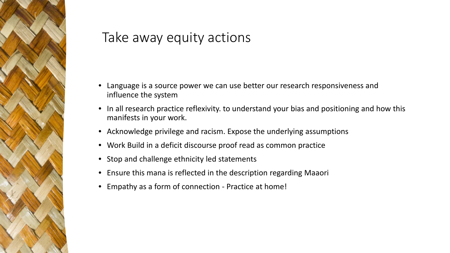## Take away equity actions

- Language is a source power we can use better our research responsiveness and influence the system
- In all research practice reflexivity. to understand your bias and positioning and how this manifests in your work.
- Acknowledge privilege and racism. Expose the underlying assumptions
- Work Build in a deficit discourse proof read as common practice
- Stop and challenge ethnicity led statements
- Ensure this mana is reflected in the description regarding Maaori
- Empathy as a form of connection Practice at home!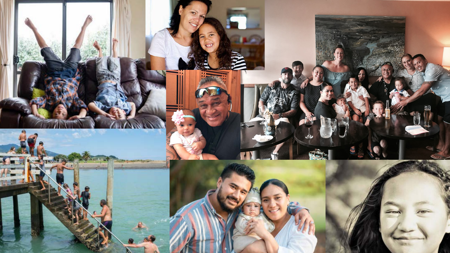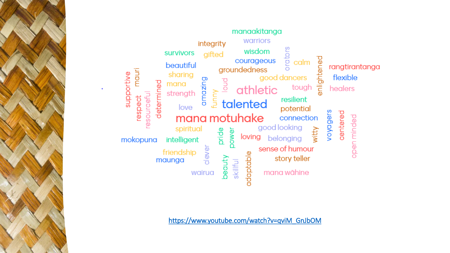



https://www.youtube.com/watch?v=qviM\_GnJbOM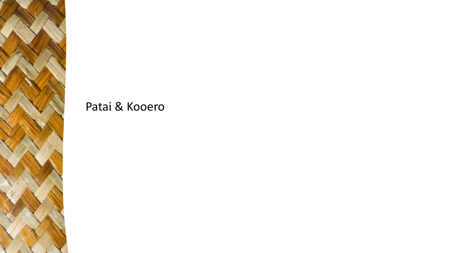

### Patai & Kooero